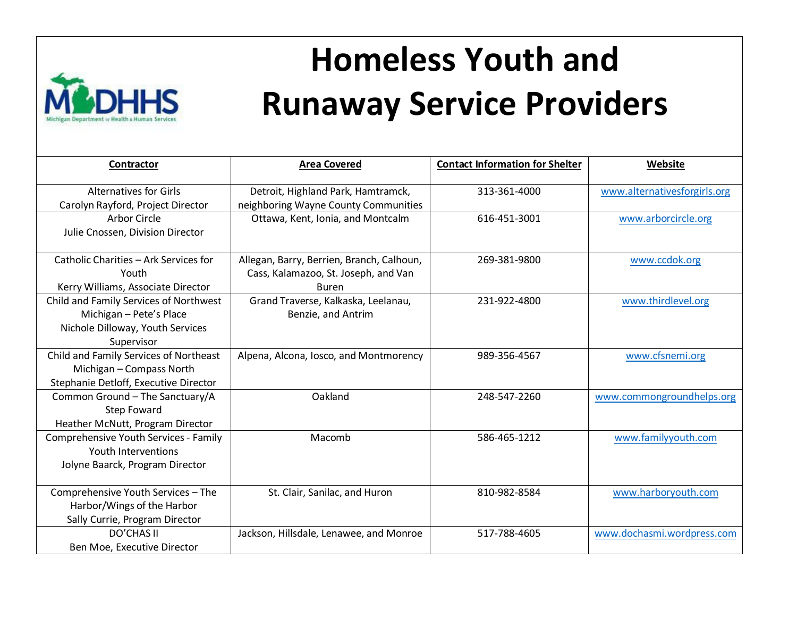

## **Homeless Youth and Runaway Service Providers**

| Contractor                                                                                                          | <b>Area Covered</b>                                                                               | <b>Contact Information for Shelter</b> | Website                      |
|---------------------------------------------------------------------------------------------------------------------|---------------------------------------------------------------------------------------------------|----------------------------------------|------------------------------|
| <b>Alternatives for Girls</b><br>Carolyn Rayford, Project Director                                                  | Detroit, Highland Park, Hamtramck,<br>neighboring Wayne County Communities                        | 313-361-4000                           | www.alternativesforgirls.org |
| <b>Arbor Circle</b><br>Julie Cnossen, Division Director                                                             | Ottawa, Kent, Ionia, and Montcalm                                                                 | 616-451-3001                           | www.arborcircle.org          |
| Catholic Charities - Ark Services for<br>Youth<br>Kerry Williams, Associate Director                                | Allegan, Barry, Berrien, Branch, Calhoun,<br>Cass, Kalamazoo, St. Joseph, and Van<br><b>Buren</b> | 269-381-9800                           | www.ccdok.org                |
| Child and Family Services of Northwest<br>Michigan - Pete's Place<br>Nichole Dilloway, Youth Services<br>Supervisor | Grand Traverse, Kalkaska, Leelanau,<br>Benzie, and Antrim                                         | 231-922-4800                           | www.thirdlevel.org           |
| Child and Family Services of Northeast<br>Michigan - Compass North<br>Stephanie Detloff, Executive Director         | Alpena, Alcona, Iosco, and Montmorency                                                            | 989-356-4567                           | www.cfsnemi.org              |
| Common Ground - The Sanctuary/A<br><b>Step Foward</b><br>Heather McNutt, Program Director                           | Oakland                                                                                           | 248-547-2260                           | www.commongroundhelps.org    |
| Comprehensive Youth Services - Family<br>Youth Interventions<br>Jolyne Baarck, Program Director                     | Macomb                                                                                            | 586-465-1212                           | www.familyyouth.com          |
| Comprehensive Youth Services - The<br>Harbor/Wings of the Harbor<br>Sally Currie, Program Director                  | St. Clair, Sanilac, and Huron                                                                     | 810-982-8584                           | www.harboryouth.com          |
| <b>DO'CHAS II</b><br>Ben Moe, Executive Director                                                                    | Jackson, Hillsdale, Lenawee, and Monroe                                                           | 517-788-4605                           | www.dochasmi.wordpress.com   |